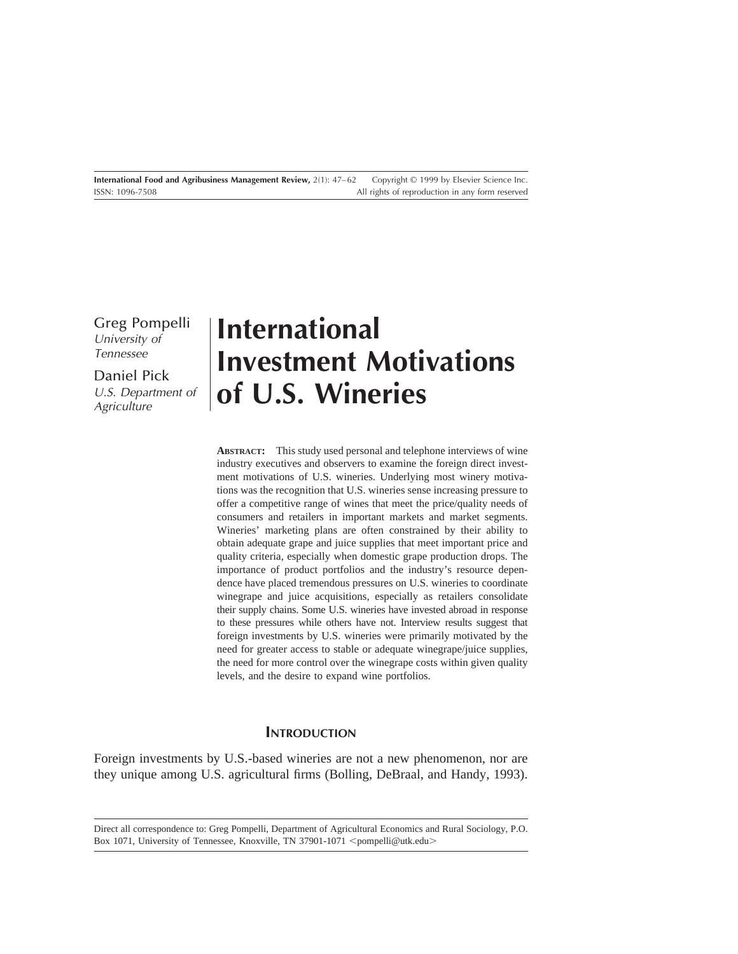Greg Pompelli University of Tennessee

Daniel Pick U.S. Department of **Agriculture** 

# **International Investment Motivations of U.S. Wineries**

**ABSTRACT:** This study used personal and telephone interviews of wine industry executives and observers to examine the foreign direct investment motivations of U.S. wineries. Underlying most winery motivations was the recognition that U.S. wineries sense increasing pressure to offer a competitive range of wines that meet the price/quality needs of consumers and retailers in important markets and market segments. Wineries' marketing plans are often constrained by their ability to obtain adequate grape and juice supplies that meet important price and quality criteria, especially when domestic grape production drops. The importance of product portfolios and the industry's resource dependence have placed tremendous pressures on U.S. wineries to coordinate winegrape and juice acquisitions, especially as retailers consolidate their supply chains. Some U.S. wineries have invested abroad in response to these pressures while others have not. Interview results suggest that foreign investments by U.S. wineries were primarily motivated by the need for greater access to stable or adequate winegrape/juice supplies, the need for more control over the winegrape costs within given quality levels, and the desire to expand wine portfolios.

# **INTRODUCTION**

Foreign investments by U.S.-based wineries are not a new phenomenon, nor are they unique among U.S. agricultural firms (Bolling, DeBraal, and Handy, 1993).

Direct all correspondence to: Greg Pompelli, Department of Agricultural Economics and Rural Sociology, P.O. Box 1071, University of Tennessee, Knoxville, TN 37901-1071 <pompelli@utk.edu>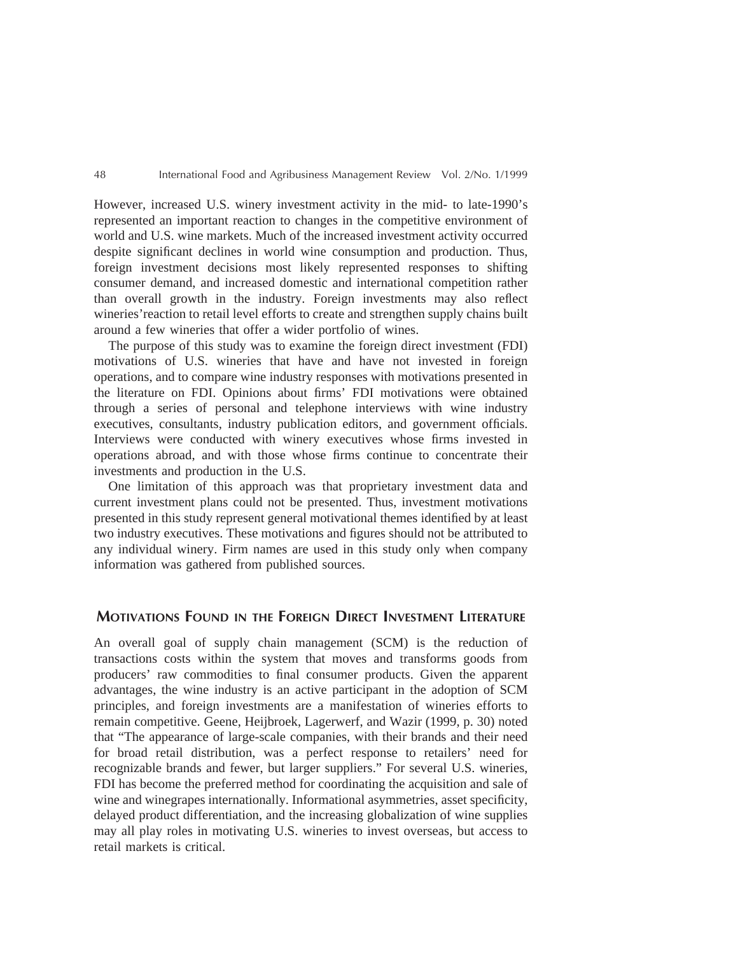However, increased U.S. winery investment activity in the mid- to late-1990's represented an important reaction to changes in the competitive environment of world and U.S. wine markets. Much of the increased investment activity occurred despite significant declines in world wine consumption and production. Thus, foreign investment decisions most likely represented responses to shifting consumer demand, and increased domestic and international competition rather than overall growth in the industry. Foreign investments may also reflect wineries'reaction to retail level efforts to create and strengthen supply chains built around a few wineries that offer a wider portfolio of wines.

The purpose of this study was to examine the foreign direct investment (FDI) motivations of U.S. wineries that have and have not invested in foreign operations, and to compare wine industry responses with motivations presented in the literature on FDI. Opinions about firms' FDI motivations were obtained through a series of personal and telephone interviews with wine industry executives, consultants, industry publication editors, and government officials. Interviews were conducted with winery executives whose firms invested in operations abroad, and with those whose firms continue to concentrate their investments and production in the U.S.

One limitation of this approach was that proprietary investment data and current investment plans could not be presented. Thus, investment motivations presented in this study represent general motivational themes identified by at least two industry executives. These motivations and figures should not be attributed to any individual winery. Firm names are used in this study only when company information was gathered from published sources.

# **MOTIVATIONS FOUND IN THE FOREIGN DIRECT INVESTMENT LITERATURE**

An overall goal of supply chain management (SCM) is the reduction of transactions costs within the system that moves and transforms goods from producers' raw commodities to final consumer products. Given the apparent advantages, the wine industry is an active participant in the adoption of SCM principles, and foreign investments are a manifestation of wineries efforts to remain competitive. Geene, Heijbroek, Lagerwerf, and Wazir (1999, p. 30) noted that "The appearance of large-scale companies, with their brands and their need for broad retail distribution, was a perfect response to retailers' need for recognizable brands and fewer, but larger suppliers." For several U.S. wineries, FDI has become the preferred method for coordinating the acquisition and sale of wine and winegrapes internationally. Informational asymmetries, asset specificity, delayed product differentiation, and the increasing globalization of wine supplies may all play roles in motivating U.S. wineries to invest overseas, but access to retail markets is critical.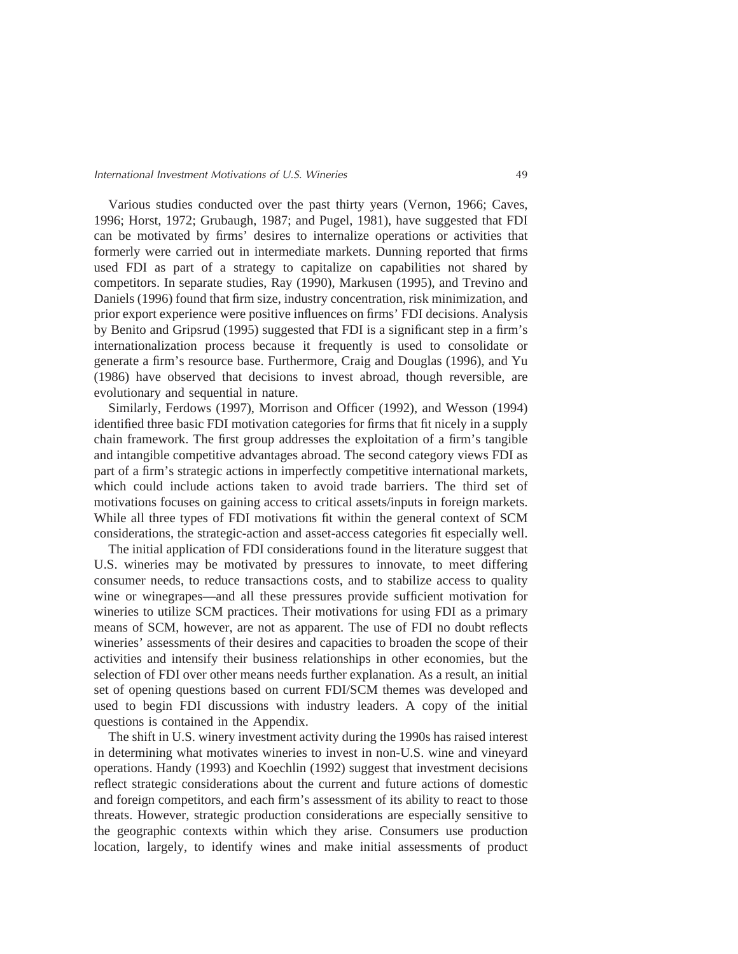Various studies conducted over the past thirty years (Vernon, 1966; Caves, 1996; Horst, 1972; Grubaugh, 1987; and Pugel, 1981), have suggested that FDI can be motivated by firms' desires to internalize operations or activities that formerly were carried out in intermediate markets. Dunning reported that firms used FDI as part of a strategy to capitalize on capabilities not shared by competitors. In separate studies, Ray (1990), Markusen (1995), and Trevino and Daniels (1996) found that firm size, industry concentration, risk minimization, and prior export experience were positive influences on firms' FDI decisions. Analysis by Benito and Gripsrud (1995) suggested that FDI is a significant step in a firm's internationalization process because it frequently is used to consolidate or generate a firm's resource base. Furthermore, Craig and Douglas (1996), and Yu (1986) have observed that decisions to invest abroad, though reversible, are evolutionary and sequential in nature.

Similarly, Ferdows (1997), Morrison and Officer (1992), and Wesson (1994) identified three basic FDI motivation categories for firms that fit nicely in a supply chain framework. The first group addresses the exploitation of a firm's tangible and intangible competitive advantages abroad. The second category views FDI as part of a firm's strategic actions in imperfectly competitive international markets, which could include actions taken to avoid trade barriers. The third set of motivations focuses on gaining access to critical assets/inputs in foreign markets. While all three types of FDI motivations fit within the general context of SCM considerations, the strategic-action and asset-access categories fit especially well.

The initial application of FDI considerations found in the literature suggest that U.S. wineries may be motivated by pressures to innovate, to meet differing consumer needs, to reduce transactions costs, and to stabilize access to quality wine or winegrapes—and all these pressures provide sufficient motivation for wineries to utilize SCM practices. Their motivations for using FDI as a primary means of SCM, however, are not as apparent. The use of FDI no doubt reflects wineries' assessments of their desires and capacities to broaden the scope of their activities and intensify their business relationships in other economies, but the selection of FDI over other means needs further explanation. As a result, an initial set of opening questions based on current FDI/SCM themes was developed and used to begin FDI discussions with industry leaders. A copy of the initial questions is contained in the Appendix.

The shift in U.S. winery investment activity during the 1990s has raised interest in determining what motivates wineries to invest in non-U.S. wine and vineyard operations. Handy (1993) and Koechlin (1992) suggest that investment decisions reflect strategic considerations about the current and future actions of domestic and foreign competitors, and each firm's assessment of its ability to react to those threats. However, strategic production considerations are especially sensitive to the geographic contexts within which they arise. Consumers use production location, largely, to identify wines and make initial assessments of product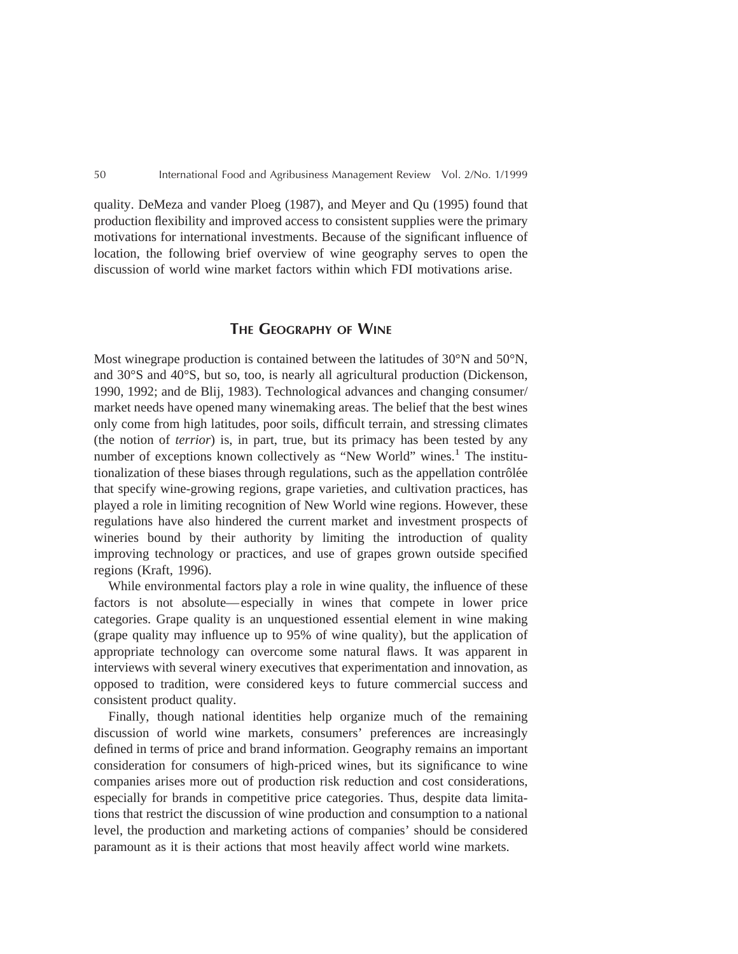quality. DeMeza and vander Ploeg (1987), and Meyer and Qu (1995) found that production flexibility and improved access to consistent supplies were the primary motivations for international investments. Because of the significant influence of location, the following brief overview of wine geography serves to open the discussion of world wine market factors within which FDI motivations arise.

# **THE GEOGRAPHY OF WINE**

Most winegrape production is contained between the latitudes of  $30^{\circ}$ N and  $50^{\circ}$ N, and 30°S and 40°S, but so, too, is nearly all agricultural production (Dickenson, 1990, 1992; and de Blij, 1983). Technological advances and changing consumer/ market needs have opened many winemaking areas. The belief that the best wines only come from high latitudes, poor soils, difficult terrain, and stressing climates (the notion of *terrior*) is, in part, true, but its primacy has been tested by any number of exceptions known collectively as "New World" wines.<sup>1</sup> The institutionalization of these biases through regulations, such as the appellation contrôlée that specify wine-growing regions, grape varieties, and cultivation practices, has played a role in limiting recognition of New World wine regions. However, these regulations have also hindered the current market and investment prospects of wineries bound by their authority by limiting the introduction of quality improving technology or practices, and use of grapes grown outside specified regions (Kraft, 1996).

While environmental factors play a role in wine quality, the influence of these factors is not absolute—especially in wines that compete in lower price categories. Grape quality is an unquestioned essential element in wine making (grape quality may influence up to 95% of wine quality), but the application of appropriate technology can overcome some natural flaws. It was apparent in interviews with several winery executives that experimentation and innovation, as opposed to tradition, were considered keys to future commercial success and consistent product quality.

Finally, though national identities help organize much of the remaining discussion of world wine markets, consumers' preferences are increasingly defined in terms of price and brand information. Geography remains an important consideration for consumers of high-priced wines, but its significance to wine companies arises more out of production risk reduction and cost considerations, especially for brands in competitive price categories. Thus, despite data limitations that restrict the discussion of wine production and consumption to a national level, the production and marketing actions of companies' should be considered paramount as it is their actions that most heavily affect world wine markets.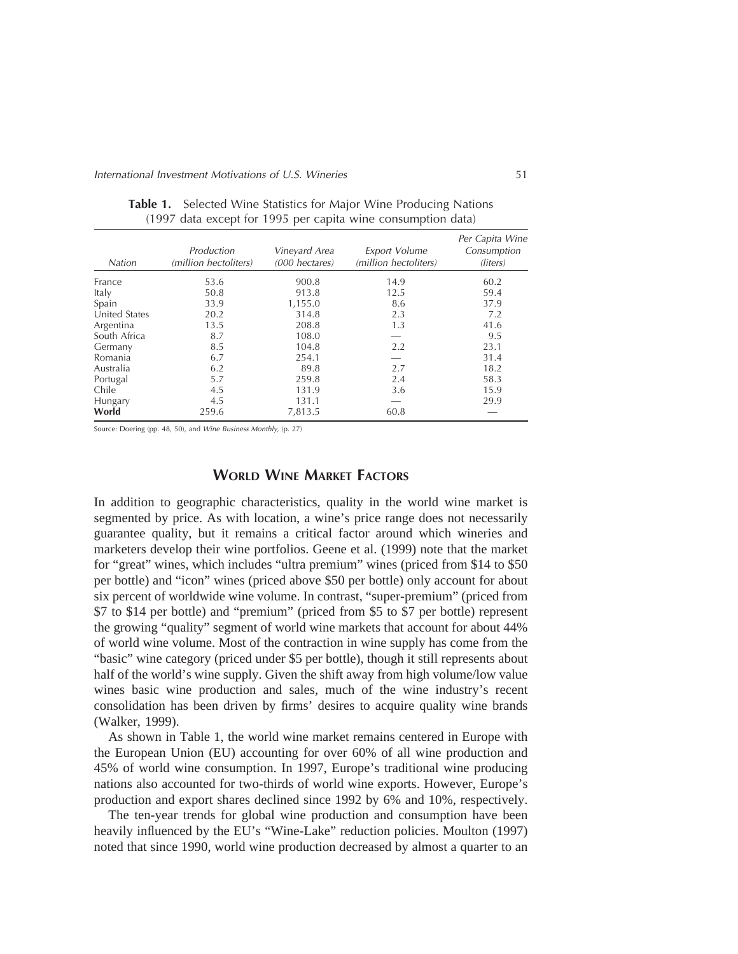| <b>Nation</b>        | Production<br>(million hectoliters) | <i>Vineyard Area</i><br>(000 hectares) | Export Volume<br>(million hectoliters) | Per Capita Wine<br>Consumption<br>(liters) |
|----------------------|-------------------------------------|----------------------------------------|----------------------------------------|--------------------------------------------|
| France               | 53.6                                | 900.8                                  | 14.9                                   | 60.2                                       |
| Italy                | 50.8                                | 913.8                                  | 12.5                                   | 59.4                                       |
| Spain                | 33.9                                | 1,155.0                                | 8.6                                    | 37.9                                       |
| <b>United States</b> | 20.2                                | 314.8                                  | 2.3                                    | 7.2                                        |
| Argentina            | 13.5                                | 208.8                                  | 1.3                                    | 41.6                                       |
| South Africa         | 8.7                                 | 108.0                                  |                                        | 9.5                                        |
| Germany              | 8.5                                 | 104.8                                  | 2.2                                    | 23.1                                       |
| Romania              | 6.7                                 | 254.1                                  |                                        | 31.4                                       |
| Australia            | 6.2                                 | 89.8                                   | 2.7                                    | 18.2                                       |
| Portugal             | 5.7                                 | 259.8                                  | 2.4                                    | 58.3                                       |
| Chile                | 4.5                                 | 131.9                                  | 3.6                                    | 15.9                                       |
| Hungary              | 4.5                                 | 131.1                                  |                                        | 29.9                                       |
| World                | 259.6                               | 7,813.5                                | 60.8                                   |                                            |

| Table 1. Selected Wine Statistics for Major Wine Producing Nations |  |
|--------------------------------------------------------------------|--|
| (1997 data except for 1995 per capita wine consumption data)       |  |

Source: Doering (pp. 48, 50), and Wine Business Monthly, (p. 27)

# **WORLD WINE MARKET FACTORS**

In addition to geographic characteristics, quality in the world wine market is segmented by price. As with location, a wine's price range does not necessarily guarantee quality, but it remains a critical factor around which wineries and marketers develop their wine portfolios. Geene et al. (1999) note that the market for "great" wines, which includes "ultra premium" wines (priced from \$14 to \$50 per bottle) and "icon" wines (priced above \$50 per bottle) only account for about six percent of worldwide wine volume. In contrast, "super-premium" (priced from \$7 to \$14 per bottle) and "premium" (priced from \$5 to \$7 per bottle) represent the growing "quality" segment of world wine markets that account for about 44% of world wine volume. Most of the contraction in wine supply has come from the "basic" wine category (priced under \$5 per bottle), though it still represents about half of the world's wine supply. Given the shift away from high volume/low value wines basic wine production and sales, much of the wine industry's recent consolidation has been driven by firms' desires to acquire quality wine brands (Walker, 1999).

As shown in Table 1, the world wine market remains centered in Europe with the European Union (EU) accounting for over 60% of all wine production and 45% of world wine consumption. In 1997, Europe's traditional wine producing nations also accounted for two-thirds of world wine exports. However, Europe's production and export shares declined since 1992 by 6% and 10%, respectively.

The ten-year trends for global wine production and consumption have been heavily influenced by the EU's "Wine-Lake" reduction policies. Moulton (1997) noted that since 1990, world wine production decreased by almost a quarter to an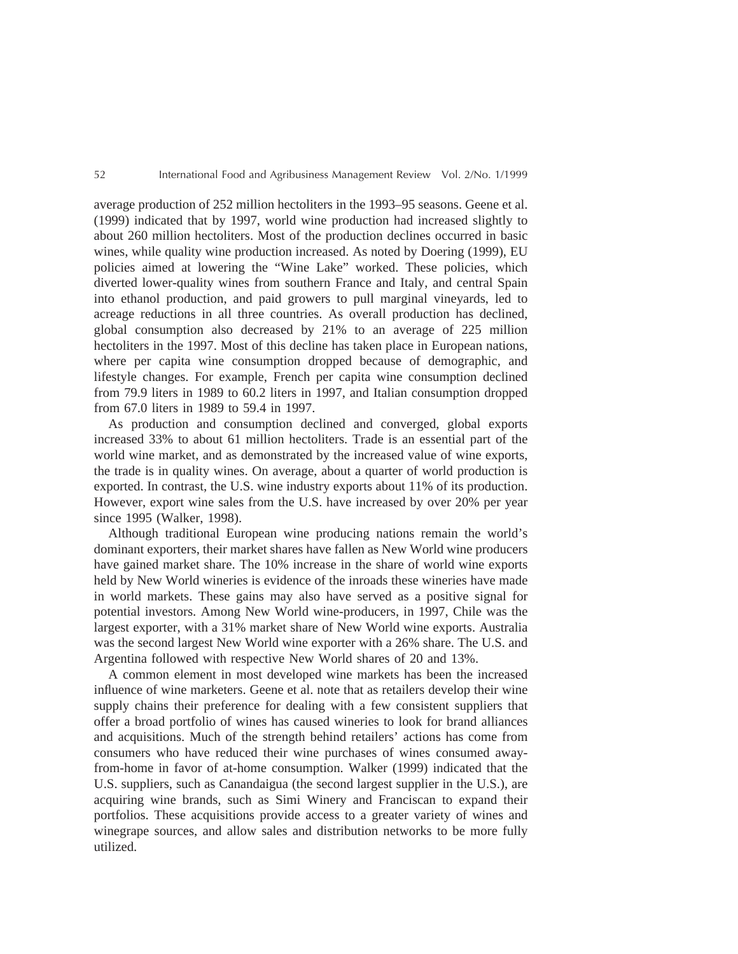average production of 252 million hectoliters in the 1993–95 seasons. Geene et al. (1999) indicated that by 1997, world wine production had increased slightly to about 260 million hectoliters. Most of the production declines occurred in basic wines, while quality wine production increased. As noted by Doering (1999), EU policies aimed at lowering the "Wine Lake" worked. These policies, which diverted lower-quality wines from southern France and Italy, and central Spain into ethanol production, and paid growers to pull marginal vineyards, led to acreage reductions in all three countries. As overall production has declined, global consumption also decreased by 21% to an average of 225 million hectoliters in the 1997. Most of this decline has taken place in European nations, where per capita wine consumption dropped because of demographic, and lifestyle changes. For example, French per capita wine consumption declined from 79.9 liters in 1989 to 60.2 liters in 1997, and Italian consumption dropped from 67.0 liters in 1989 to 59.4 in 1997.

As production and consumption declined and converged, global exports increased 33% to about 61 million hectoliters. Trade is an essential part of the world wine market, and as demonstrated by the increased value of wine exports, the trade is in quality wines. On average, about a quarter of world production is exported. In contrast, the U.S. wine industry exports about 11% of its production. However, export wine sales from the U.S. have increased by over 20% per year since 1995 (Walker, 1998).

Although traditional European wine producing nations remain the world's dominant exporters, their market shares have fallen as New World wine producers have gained market share. The 10% increase in the share of world wine exports held by New World wineries is evidence of the inroads these wineries have made in world markets. These gains may also have served as a positive signal for potential investors. Among New World wine-producers, in 1997, Chile was the largest exporter, with a 31% market share of New World wine exports. Australia was the second largest New World wine exporter with a 26% share. The U.S. and Argentina followed with respective New World shares of 20 and 13%.

A common element in most developed wine markets has been the increased influence of wine marketers. Geene et al. note that as retailers develop their wine supply chains their preference for dealing with a few consistent suppliers that offer a broad portfolio of wines has caused wineries to look for brand alliances and acquisitions. Much of the strength behind retailers' actions has come from consumers who have reduced their wine purchases of wines consumed awayfrom-home in favor of at-home consumption. Walker (1999) indicated that the U.S. suppliers, such as Canandaigua (the second largest supplier in the U.S.), are acquiring wine brands, such as Simi Winery and Franciscan to expand their portfolios. These acquisitions provide access to a greater variety of wines and winegrape sources, and allow sales and distribution networks to be more fully utilized.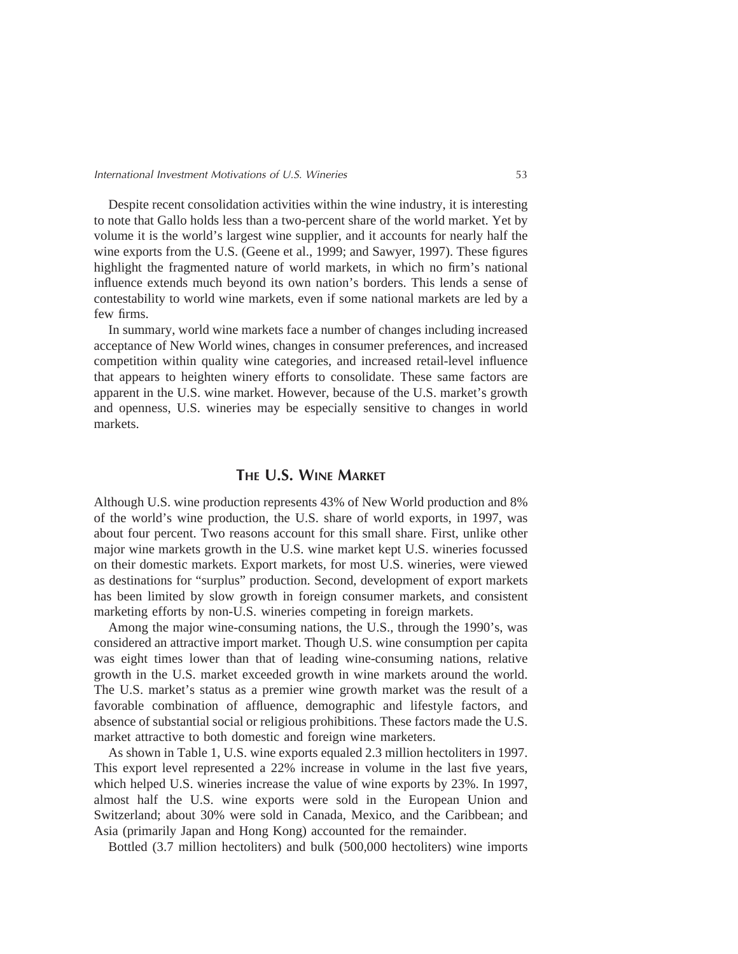Despite recent consolidation activities within the wine industry, it is interesting to note that Gallo holds less than a two-percent share of the world market. Yet by volume it is the world's largest wine supplier, and it accounts for nearly half the wine exports from the U.S. (Geene et al., 1999; and Sawyer, 1997). These figures highlight the fragmented nature of world markets, in which no firm's national influence extends much beyond its own nation's borders. This lends a sense of contestability to world wine markets, even if some national markets are led by a few firms.

In summary, world wine markets face a number of changes including increased acceptance of New World wines, changes in consumer preferences, and increased competition within quality wine categories, and increased retail-level influence that appears to heighten winery efforts to consolidate. These same factors are apparent in the U.S. wine market. However, because of the U.S. market's growth and openness, U.S. wineries may be especially sensitive to changes in world markets.

# **THE U.S. WINE MARKET**

Although U.S. wine production represents 43% of New World production and 8% of the world's wine production, the U.S. share of world exports, in 1997, was about four percent. Two reasons account for this small share. First, unlike other major wine markets growth in the U.S. wine market kept U.S. wineries focussed on their domestic markets. Export markets, for most U.S. wineries, were viewed as destinations for "surplus" production. Second, development of export markets has been limited by slow growth in foreign consumer markets, and consistent marketing efforts by non-U.S. wineries competing in foreign markets.

Among the major wine-consuming nations, the U.S., through the 1990's, was considered an attractive import market. Though U.S. wine consumption per capita was eight times lower than that of leading wine-consuming nations, relative growth in the U.S. market exceeded growth in wine markets around the world. The U.S. market's status as a premier wine growth market was the result of a favorable combination of affluence, demographic and lifestyle factors, and absence of substantial social or religious prohibitions. These factors made the U.S. market attractive to both domestic and foreign wine marketers.

As shown in Table 1, U.S. wine exports equaled 2.3 million hectoliters in 1997. This export level represented a 22% increase in volume in the last five years, which helped U.S. wineries increase the value of wine exports by 23%. In 1997, almost half the U.S. wine exports were sold in the European Union and Switzerland; about 30% were sold in Canada, Mexico, and the Caribbean; and Asia (primarily Japan and Hong Kong) accounted for the remainder.

Bottled (3.7 million hectoliters) and bulk (500,000 hectoliters) wine imports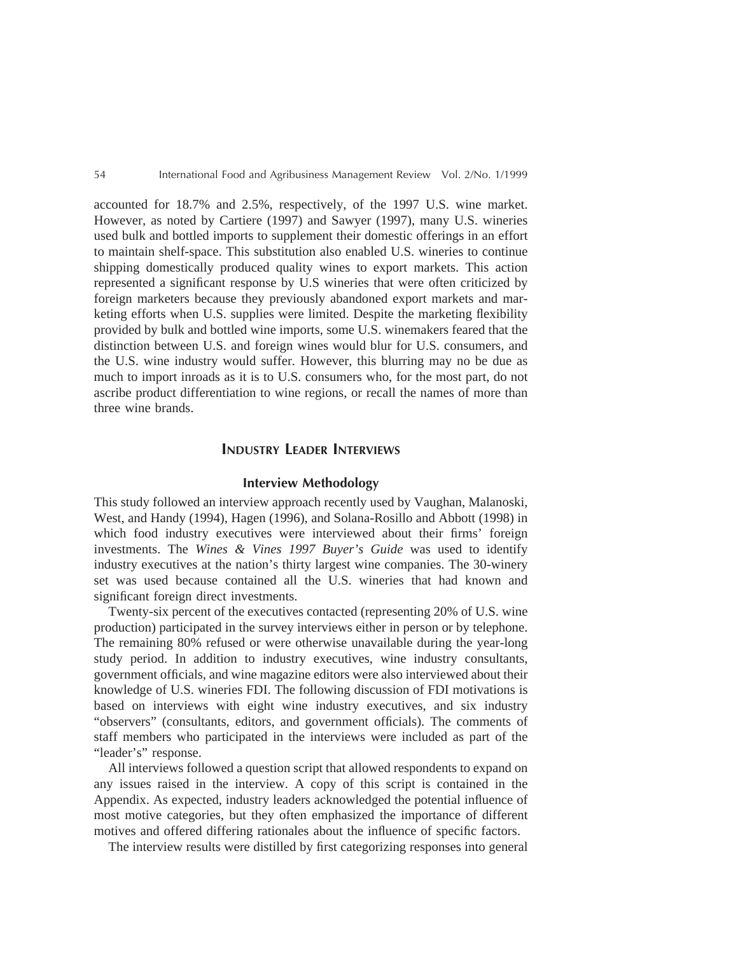accounted for 18.7% and 2.5%, respectively, of the 1997 U.S. wine market. However, as noted by Cartiere (1997) and Sawyer (1997), many U.S. wineries used bulk and bottled imports to supplement their domestic offerings in an effort to maintain shelf-space. This substitution also enabled U.S. wineries to continue shipping domestically produced quality wines to export markets. This action represented a significant response by U.S wineries that were often criticized by foreign marketers because they previously abandoned export markets and marketing efforts when U.S. supplies were limited. Despite the marketing flexibility provided by bulk and bottled wine imports, some U.S. winemakers feared that the distinction between U.S. and foreign wines would blur for U.S. consumers, and the U.S. wine industry would suffer. However, this blurring may no be due as much to import inroads as it is to U.S. consumers who, for the most part, do not ascribe product differentiation to wine regions, or recall the names of more than three wine brands.

## **INDUSTRY LEADER INTERVIEWS**

## **Interview Methodology**

This study followed an interview approach recently used by Vaughan, Malanoski, West, and Handy (1994), Hagen (1996), and Solana-Rosillo and Abbott (1998) in which food industry executives were interviewed about their firms' foreign investments. The *Wines & Vines 1997 Buyer's Guide* was used to identify industry executives at the nation's thirty largest wine companies. The 30-winery set was used because contained all the U.S. wineries that had known and significant foreign direct investments.

Twenty-six percent of the executives contacted (representing 20% of U.S. wine production) participated in the survey interviews either in person or by telephone. The remaining 80% refused or were otherwise unavailable during the year-long study period. In addition to industry executives, wine industry consultants, government officials, and wine magazine editors were also interviewed about their knowledge of U.S. wineries FDI. The following discussion of FDI motivations is based on interviews with eight wine industry executives, and six industry "observers" (consultants, editors, and government officials). The comments of staff members who participated in the interviews were included as part of the "leader's" response.

All interviews followed a question script that allowed respondents to expand on any issues raised in the interview. A copy of this script is contained in the Appendix. As expected, industry leaders acknowledged the potential influence of most motive categories, but they often emphasized the importance of different motives and offered differing rationales about the influence of specific factors.

The interview results were distilled by first categorizing responses into general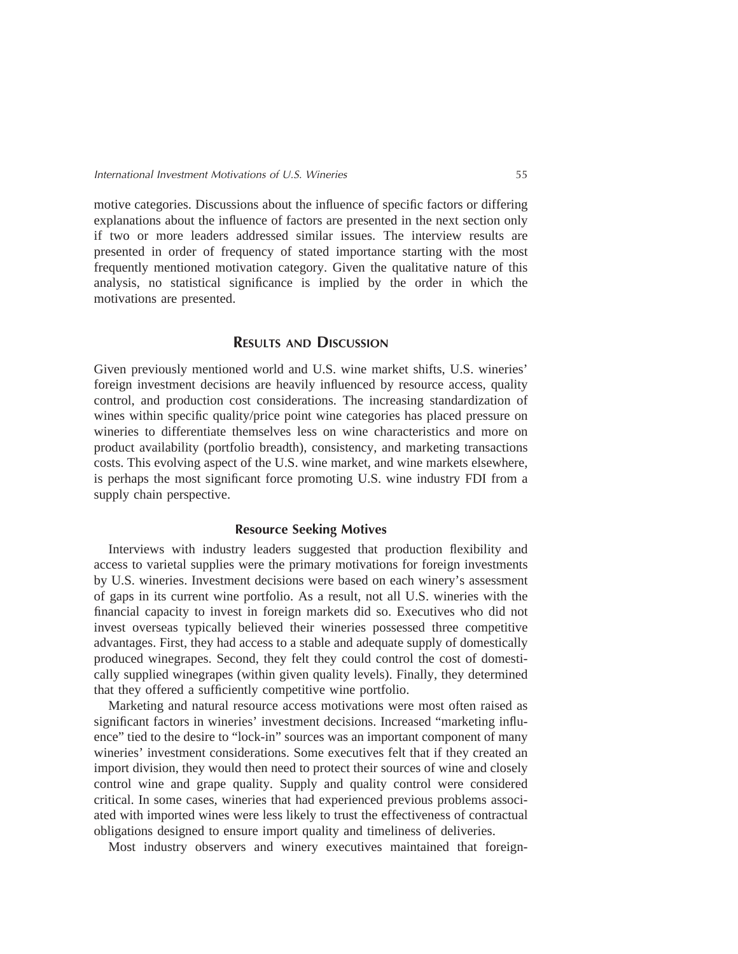motive categories. Discussions about the influence of specific factors or differing explanations about the influence of factors are presented in the next section only if two or more leaders addressed similar issues. The interview results are presented in order of frequency of stated importance starting with the most frequently mentioned motivation category. Given the qualitative nature of this analysis, no statistical significance is implied by the order in which the motivations are presented.

#### **RESULTS AND DISCUSSION**

Given previously mentioned world and U.S. wine market shifts, U.S. wineries' foreign investment decisions are heavily influenced by resource access, quality control, and production cost considerations. The increasing standardization of wines within specific quality/price point wine categories has placed pressure on wineries to differentiate themselves less on wine characteristics and more on product availability (portfolio breadth), consistency, and marketing transactions costs. This evolving aspect of the U.S. wine market, and wine markets elsewhere, is perhaps the most significant force promoting U.S. wine industry FDI from a supply chain perspective.

#### **Resource Seeking Motives**

Interviews with industry leaders suggested that production flexibility and access to varietal supplies were the primary motivations for foreign investments by U.S. wineries. Investment decisions were based on each winery's assessment of gaps in its current wine portfolio. As a result, not all U.S. wineries with the financial capacity to invest in foreign markets did so. Executives who did not invest overseas typically believed their wineries possessed three competitive advantages. First, they had access to a stable and adequate supply of domestically produced winegrapes. Second, they felt they could control the cost of domestically supplied winegrapes (within given quality levels). Finally, they determined that they offered a sufficiently competitive wine portfolio.

Marketing and natural resource access motivations were most often raised as significant factors in wineries' investment decisions. Increased "marketing influence" tied to the desire to "lock-in" sources was an important component of many wineries' investment considerations. Some executives felt that if they created an import division, they would then need to protect their sources of wine and closely control wine and grape quality. Supply and quality control were considered critical. In some cases, wineries that had experienced previous problems associated with imported wines were less likely to trust the effectiveness of contractual obligations designed to ensure import quality and timeliness of deliveries.

Most industry observers and winery executives maintained that foreign-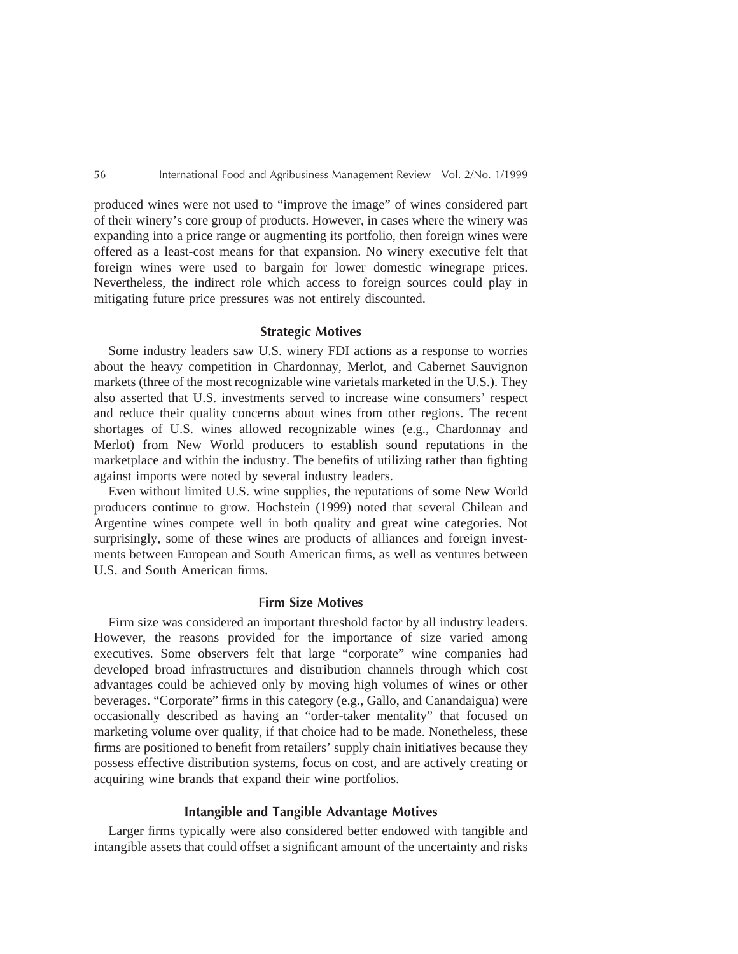produced wines were not used to "improve the image" of wines considered part of their winery's core group of products. However, in cases where the winery was expanding into a price range or augmenting its portfolio, then foreign wines were offered as a least-cost means for that expansion. No winery executive felt that foreign wines were used to bargain for lower domestic winegrape prices. Nevertheless, the indirect role which access to foreign sources could play in mitigating future price pressures was not entirely discounted.

#### **Strategic Motives**

Some industry leaders saw U.S. winery FDI actions as a response to worries about the heavy competition in Chardonnay, Merlot, and Cabernet Sauvignon markets (three of the most recognizable wine varietals marketed in the U.S.). They also asserted that U.S. investments served to increase wine consumers' respect and reduce their quality concerns about wines from other regions. The recent shortages of U.S. wines allowed recognizable wines (e.g., Chardonnay and Merlot) from New World producers to establish sound reputations in the marketplace and within the industry. The benefits of utilizing rather than fighting against imports were noted by several industry leaders.

Even without limited U.S. wine supplies, the reputations of some New World producers continue to grow. Hochstein (1999) noted that several Chilean and Argentine wines compete well in both quality and great wine categories. Not surprisingly, some of these wines are products of alliances and foreign investments between European and South American firms, as well as ventures between U.S. and South American firms.

### **Firm Size Motives**

Firm size was considered an important threshold factor by all industry leaders. However, the reasons provided for the importance of size varied among executives. Some observers felt that large "corporate" wine companies had developed broad infrastructures and distribution channels through which cost advantages could be achieved only by moving high volumes of wines or other beverages. "Corporate" firms in this category (e.g., Gallo, and Canandaigua) were occasionally described as having an "order-taker mentality" that focused on marketing volume over quality, if that choice had to be made. Nonetheless, these firms are positioned to benefit from retailers' supply chain initiatives because they possess effective distribution systems, focus on cost, and are actively creating or acquiring wine brands that expand their wine portfolios.

#### **Intangible and Tangible Advantage Motives**

Larger firms typically were also considered better endowed with tangible and intangible assets that could offset a significant amount of the uncertainty and risks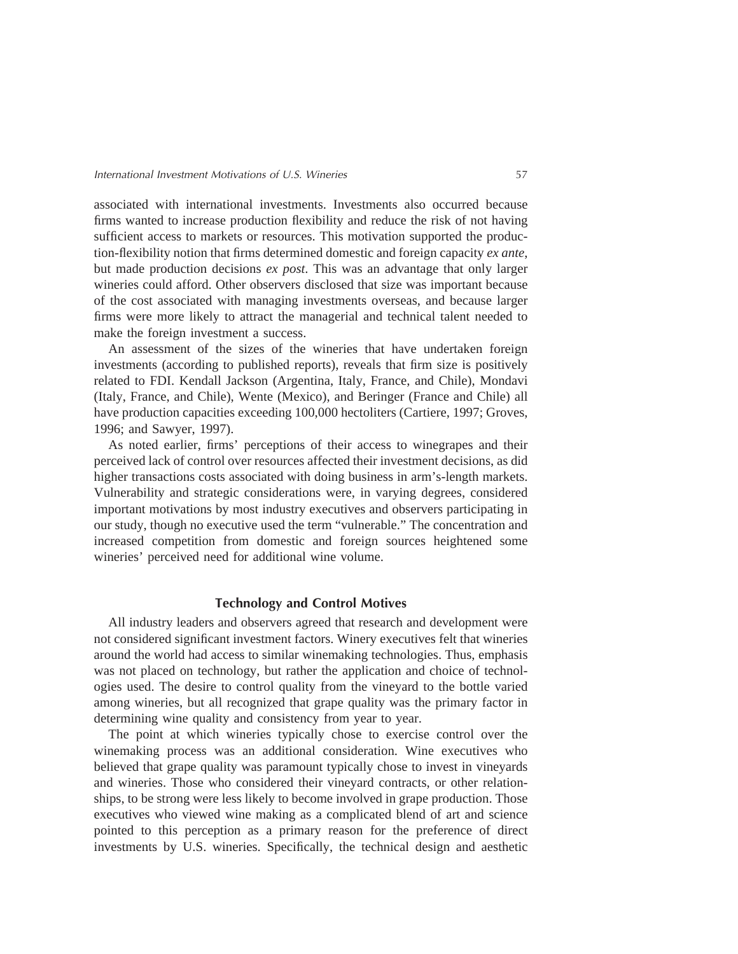associated with international investments. Investments also occurred because firms wanted to increase production flexibility and reduce the risk of not having sufficient access to markets or resources. This motivation supported the production-flexibility notion that firms determined domestic and foreign capacity *ex ante*, but made production decisions *ex post*. This was an advantage that only larger wineries could afford. Other observers disclosed that size was important because of the cost associated with managing investments overseas, and because larger firms were more likely to attract the managerial and technical talent needed to make the foreign investment a success.

An assessment of the sizes of the wineries that have undertaken foreign investments (according to published reports), reveals that firm size is positively related to FDI. Kendall Jackson (Argentina, Italy, France, and Chile), Mondavi (Italy, France, and Chile), Wente (Mexico), and Beringer (France and Chile) all have production capacities exceeding 100,000 hectoliters (Cartiere, 1997; Groves, 1996; and Sawyer, 1997).

As noted earlier, firms' perceptions of their access to winegrapes and their perceived lack of control over resources affected their investment decisions, as did higher transactions costs associated with doing business in arm's-length markets. Vulnerability and strategic considerations were, in varying degrees, considered important motivations by most industry executives and observers participating in our study, though no executive used the term "vulnerable." The concentration and increased competition from domestic and foreign sources heightened some wineries' perceived need for additional wine volume.

#### **Technology and Control Motives**

All industry leaders and observers agreed that research and development were not considered significant investment factors. Winery executives felt that wineries around the world had access to similar winemaking technologies. Thus, emphasis was not placed on technology, but rather the application and choice of technologies used. The desire to control quality from the vineyard to the bottle varied among wineries, but all recognized that grape quality was the primary factor in determining wine quality and consistency from year to year.

The point at which wineries typically chose to exercise control over the winemaking process was an additional consideration. Wine executives who believed that grape quality was paramount typically chose to invest in vineyards and wineries. Those who considered their vineyard contracts, or other relationships, to be strong were less likely to become involved in grape production. Those executives who viewed wine making as a complicated blend of art and science pointed to this perception as a primary reason for the preference of direct investments by U.S. wineries. Specifically, the technical design and aesthetic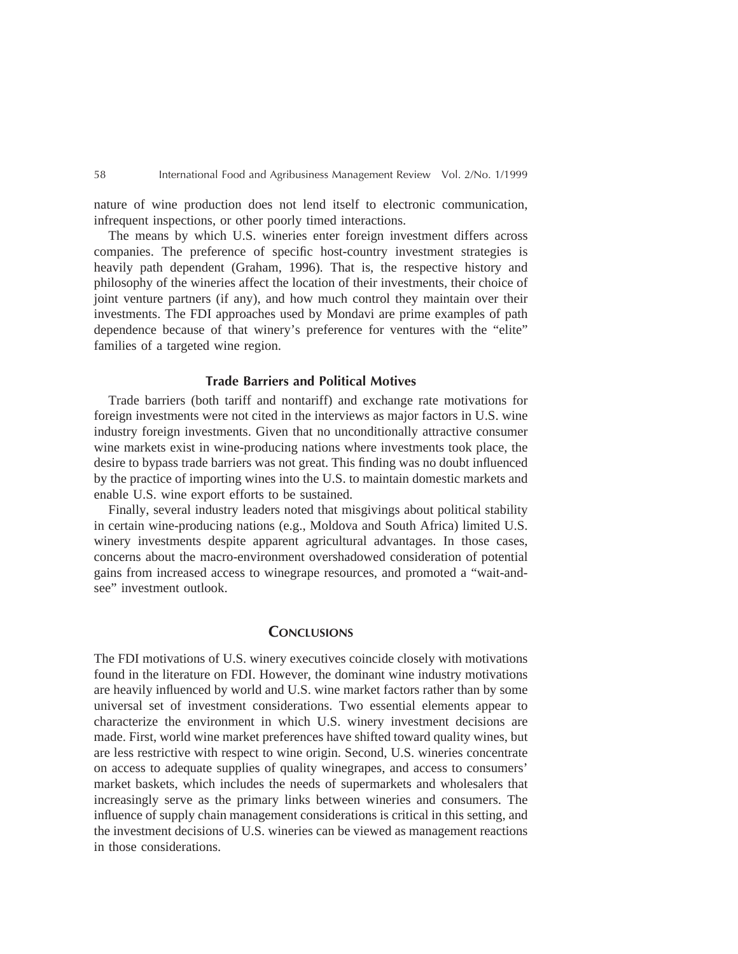nature of wine production does not lend itself to electronic communication, infrequent inspections, or other poorly timed interactions.

The means by which U.S. wineries enter foreign investment differs across companies. The preference of specific host-country investment strategies is heavily path dependent (Graham, 1996). That is, the respective history and philosophy of the wineries affect the location of their investments, their choice of joint venture partners (if any), and how much control they maintain over their investments. The FDI approaches used by Mondavi are prime examples of path dependence because of that winery's preference for ventures with the "elite" families of a targeted wine region.

### **Trade Barriers and Political Motives**

Trade barriers (both tariff and nontariff) and exchange rate motivations for foreign investments were not cited in the interviews as major factors in U.S. wine industry foreign investments. Given that no unconditionally attractive consumer wine markets exist in wine-producing nations where investments took place, the desire to bypass trade barriers was not great. This finding was no doubt influenced by the practice of importing wines into the U.S. to maintain domestic markets and enable U.S. wine export efforts to be sustained.

Finally, several industry leaders noted that misgivings about political stability in certain wine-producing nations (e.g., Moldova and South Africa) limited U.S. winery investments despite apparent agricultural advantages. In those cases, concerns about the macro-environment overshadowed consideration of potential gains from increased access to winegrape resources, and promoted a "wait-andsee" investment outlook.

#### **CONCLUSIONS**

The FDI motivations of U.S. winery executives coincide closely with motivations found in the literature on FDI. However, the dominant wine industry motivations are heavily influenced by world and U.S. wine market factors rather than by some universal set of investment considerations. Two essential elements appear to characterize the environment in which U.S. winery investment decisions are made. First, world wine market preferences have shifted toward quality wines, but are less restrictive with respect to wine origin. Second, U.S. wineries concentrate on access to adequate supplies of quality winegrapes, and access to consumers' market baskets, which includes the needs of supermarkets and wholesalers that increasingly serve as the primary links between wineries and consumers. The influence of supply chain management considerations is critical in this setting, and the investment decisions of U.S. wineries can be viewed as management reactions in those considerations.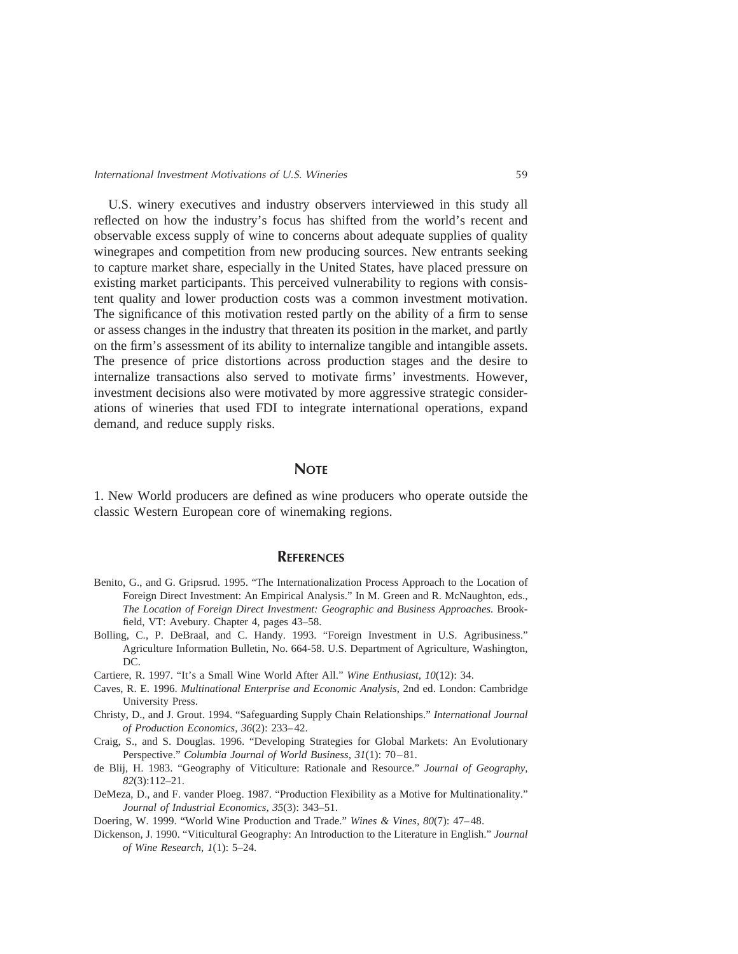U.S. winery executives and industry observers interviewed in this study all reflected on how the industry's focus has shifted from the world's recent and observable excess supply of wine to concerns about adequate supplies of quality winegrapes and competition from new producing sources. New entrants seeking to capture market share, especially in the United States, have placed pressure on existing market participants. This perceived vulnerability to regions with consistent quality and lower production costs was a common investment motivation. The significance of this motivation rested partly on the ability of a firm to sense or assess changes in the industry that threaten its position in the market, and partly on the firm's assessment of its ability to internalize tangible and intangible assets. The presence of price distortions across production stages and the desire to internalize transactions also served to motivate firms' investments. However, investment decisions also were motivated by more aggressive strategic considerations of wineries that used FDI to integrate international operations, expand demand, and reduce supply risks.

# **NOTE**

1. New World producers are defined as wine producers who operate outside the classic Western European core of winemaking regions.

## **REFERENCES**

- Benito, G., and G. Gripsrud. 1995. "The Internationalization Process Approach to the Location of Foreign Direct Investment: An Empirical Analysis." In M. Green and R. McNaughton, eds., *The Location of Foreign Direct Investment: Geographic and Business Approaches.* Brookfield, VT: Avebury. Chapter 4, pages 43–58.
- Bolling, C., P. DeBraal, and C. Handy. 1993. "Foreign Investment in U.S. Agribusiness." Agriculture Information Bulletin, No. 664-58. U.S. Department of Agriculture, Washington,  $DC$
- Cartiere, R. 1997. "It's a Small Wine World After All." *Wine Enthusiast, 10*(12): 34.
- Caves, R. E. 1996. *Multinational Enterprise and Economic Analysis*, 2nd ed. London: Cambridge University Press.
- Christy, D., and J. Grout. 1994. "Safeguarding Supply Chain Relationships." *International Journal of Production Economics, 36*(2): 233–42.
- Craig, S., and S. Douglas. 1996. "Developing Strategies for Global Markets: An Evolutionary Perspective." *Columbia Journal of World Business, 31*(1): 70–81.
- de Blij, H. 1983. "Geography of Viticulture: Rationale and Resource." *Journal of Geography, 82*(3):112–21.
- DeMeza, D., and F. vander Ploeg. 1987. "Production Flexibility as a Motive for Multinationality." *Journal of Industrial Economics, 35*(3): 343–51.
- Doering, W. 1999. "World Wine Production and Trade." *Wines & Vines, 80*(7): 47–48.
- Dickenson, J. 1990. "Viticultural Geography: An Introduction to the Literature in English." *Journal of Wine Research, 1*(1): 5–24.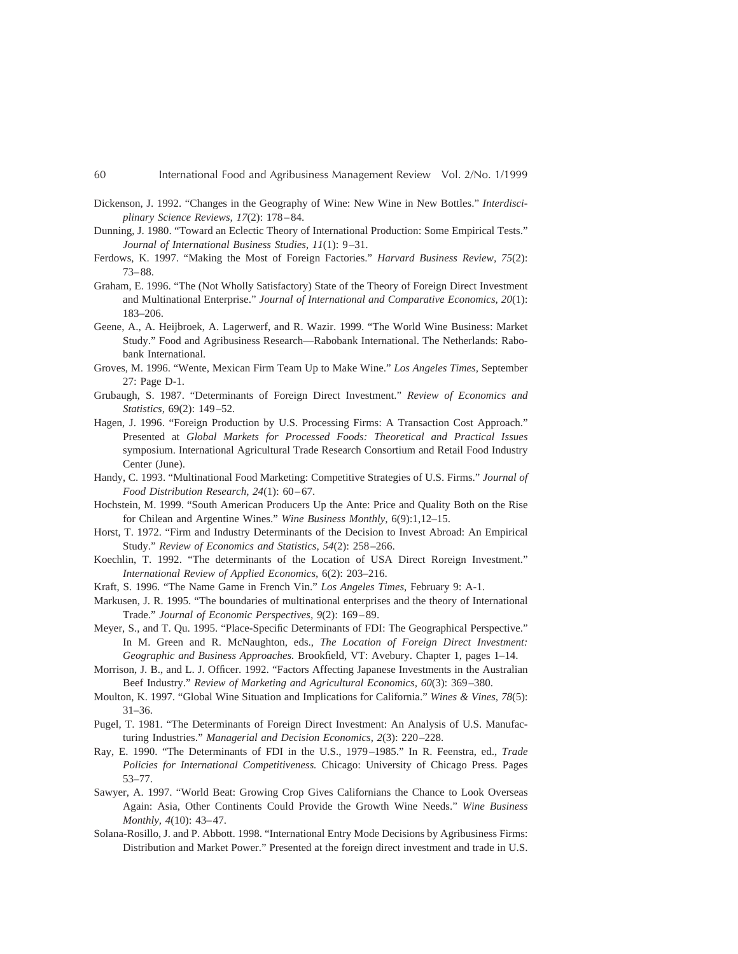- Dickenson, J. 1992. "Changes in the Geography of Wine: New Wine in New Bottles." *Interdisciplinary Science Reviews, 17*(2): 178–84.
- Dunning, J. 1980. "Toward an Eclectic Theory of International Production: Some Empirical Tests." *Journal of International Business Studies, 11*(1): 9–31.
- Ferdows, K. 1997. "Making the Most of Foreign Factories." *Harvard Business Review, 75*(2): 73–88.
- Graham, E. 1996. "The (Not Wholly Satisfactory) State of the Theory of Foreign Direct Investment and Multinational Enterprise." *Journal of International and Comparative Economics, 20*(1): 183–206.
- Geene, A., A. Heijbroek, A. Lagerwerf, and R. Wazir. 1999. "The World Wine Business: Market Study." Food and Agribusiness Research—Rabobank International. The Netherlands: Rabobank International.
- Groves, M. 1996. "Wente, Mexican Firm Team Up to Make Wine." *Los Angeles Times,* September 27: Page D-1.
- Grubaugh, S. 1987. "Determinants of Foreign Direct Investment." *Review of Economics and Statistics,* 69(2): 149–52.
- Hagen, J. 1996. "Foreign Production by U.S. Processing Firms: A Transaction Cost Approach." Presented at *Global Markets for Processed Foods: Theoretical and Practical Issues* symposium. International Agricultural Trade Research Consortium and Retail Food Industry Center (June).
- Handy, C. 1993. "Multinational Food Marketing: Competitive Strategies of U.S. Firms." *Journal of Food Distribution Research, 24*(1): 60–67.
- Hochstein, M. 1999. "South American Producers Up the Ante: Price and Quality Both on the Rise for Chilean and Argentine Wines." *Wine Business Monthly,* 6(9):1,12–15.
- Horst, T. 1972. "Firm and Industry Determinants of the Decision to Invest Abroad: An Empirical Study." *Review of Economics and Statistics, 54*(2): 258–266.
- Koechlin, T. 1992. "The determinants of the Location of USA Direct Roreign Investment." *International Review of Applied Economics,* 6(2): 203–216.
- Kraft, S. 1996. "The Name Game in French Vin." *Los Angeles Times*, February 9: A-1.
- Markusen, J. R. 1995. "The boundaries of multinational enterprises and the theory of International Trade." *Journal of Economic Perspectives, 9*(2): 169–89.
- Meyer, S., and T. Qu. 1995. "Place-Specific Determinants of FDI: The Geographical Perspective." In M. Green and R. McNaughton, eds., *The Location of Foreign Direct Investment: Geographic and Business Approaches.* Brookfield, VT: Avebury. Chapter 1, pages 1–14.
- Morrison, J. B., and L. J. Officer. 1992. "Factors Affecting Japanese Investments in the Australian Beef Industry." *Review of Marketing and Agricultural Economics, 60*(3): 369–380.
- Moulton, K. 1997. "Global Wine Situation and Implications for California." *Wines & Vines, 78*(5): 31–36.
- Pugel, T. 1981. "The Determinants of Foreign Direct Investment: An Analysis of U.S. Manufacturing Industries." *Managerial and Decision Economics, 2*(3): 220–228.
- Ray, E. 1990. "The Determinants of FDI in the U.S., 1979–1985." In R. Feenstra, ed., *Trade Policies for International Competitiveness.* Chicago: University of Chicago Press. Pages 53–77.
- Sawyer, A. 1997. "World Beat: Growing Crop Gives Californians the Chance to Look Overseas Again: Asia, Other Continents Could Provide the Growth Wine Needs." *Wine Business Monthly, 4*(10): 43–47.
- Solana-Rosillo, J. and P. Abbott. 1998. "International Entry Mode Decisions by Agribusiness Firms: Distribution and Market Power." Presented at the foreign direct investment and trade in U.S.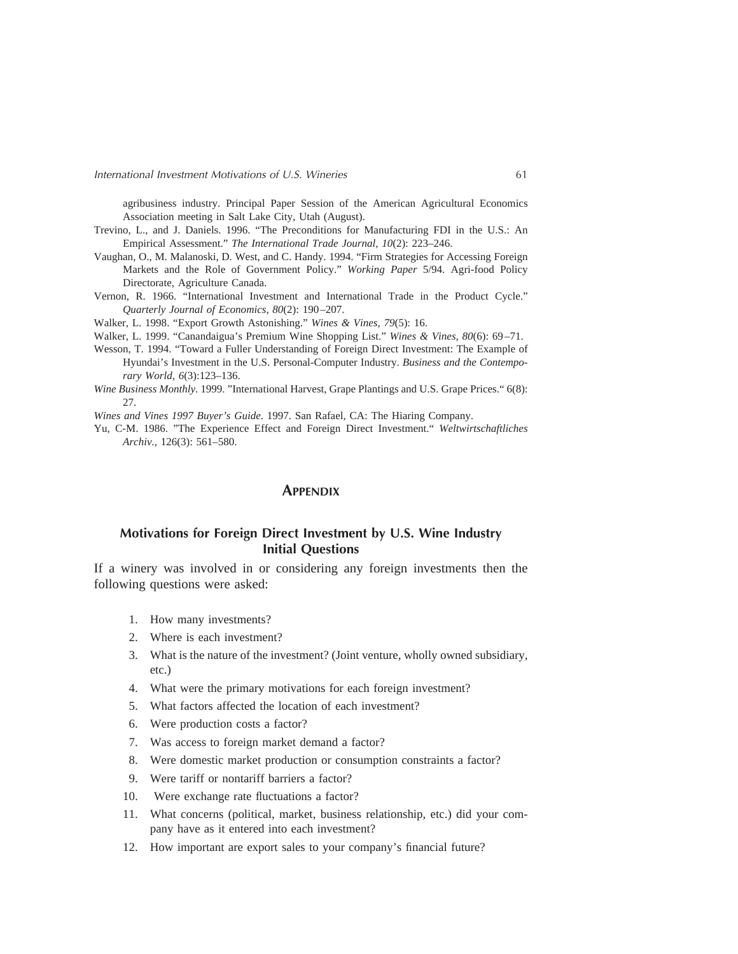agribusiness industry. Principal Paper Session of the American Agricultural Economics Association meeting in Salt Lake City, Utah (August).

- Trevino, L., and J. Daniels. 1996. "The Preconditions for Manufacturing FDI in the U.S.: An Empirical Assessment." *The International Trade Journal, 10*(2): 223–246.
- Vaughan, O., M. Malanoski, D. West, and C. Handy. 1994. "Firm Strategies for Accessing Foreign Markets and the Role of Government Policy." *Working Paper* 5/94. Agri-food Policy Directorate, Agriculture Canada.
- Vernon, R. 1966. "International Investment and International Trade in the Product Cycle." *Quarterly Journal of Economics, 80*(2): 190–207.
- Walker, L. 1998. "Export Growth Astonishing." *Wines & Vines, 79*(5): 16.
- Walker, L. 1999. "Canandaigua's Premium Wine Shopping List." *Wines & Vines, 80*(6): 69–71.
- Wesson, T. 1994. "Toward a Fuller Understanding of Foreign Direct Investment: The Example of Hyundai's Investment in the U.S. Personal-Computer Industry. *Business and the Contemporary World, 6*(3):123–136.
- *Wine Business Monthly*. 1999. "International Harvest, Grape Plantings and U.S. Grape Prices." 6(8): 27.

*Wines and Vines 1997 Buyer's Guide*. 1997. San Rafael, CA: The Hiaring Company.

Yu, C-M. 1986. "The Experience Effect and Foreign Direct Investment." *Weltwirtschaftliches Archiv.*, 126(3): 561–580.

## **APPENDIX**

## **Motivations for Foreign Direct Investment by U.S. Wine Industry Initial Questions**

If a winery was involved in or considering any foreign investments then the following questions were asked:

- 1. How many investments?
- 2. Where is each investment?
- 3. What is the nature of the investment? (Joint venture, wholly owned subsidiary, etc.)
- 4. What were the primary motivations for each foreign investment?
- 5. What factors affected the location of each investment?
- 6. Were production costs a factor?
- 7. Was access to foreign market demand a factor?
- 8. Were domestic market production or consumption constraints a factor?
- 9. Were tariff or nontariff barriers a factor?
- 10. Were exchange rate fluctuations a factor?
- 11. What concerns (political, market, business relationship, etc.) did your company have as it entered into each investment?
- 12. How important are export sales to your company's financial future?